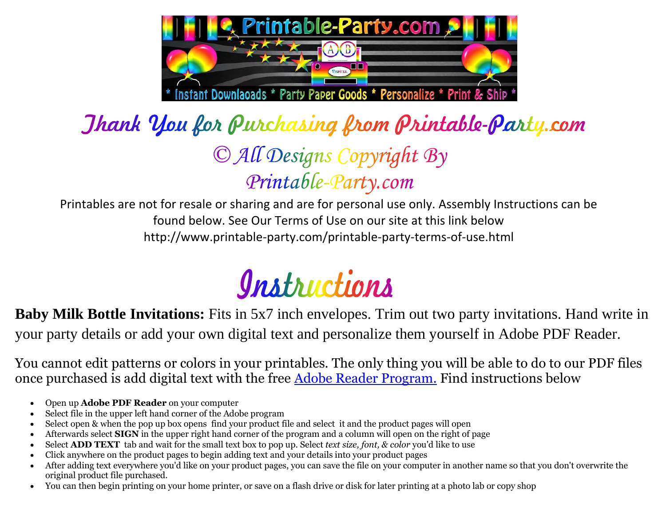

## Jhank You for Purchasing from Printable-Party.com © All Designs Copyright By Printable-Party.com

Printables are not for resale or sharing and are for personal use only. Assembly Instructions can be found below. See Our Terms of Use on our site at this link below http://www.printable-party.com/printable-party-terms-of-use.html



**Baby Milk Bottle Invitations:** Fits in 5x7 inch envelopes. Trim out two party invitations. Hand write in your party details or add your own digital text and personalize them yourself in Adobe PDF Reader.

You cannot edit patterns or colors in your printables. The only thing you will be able to do to our PDF files once purchased is add digital text with the free [Adobe Reader Program.](http://get.adobe.com/reader/) Find instructions below

- Open up **Adobe PDF Reader** on your computer
- Select file in the upper left hand corner of the Adobe program
- Select open & when the pop up box opens find your product file and select it and the product pages will open
- Afterwards select **SIGN** in the upper right hand corner of the program and a column will open on the right of page
- Select **ADD TEXT** tab and wait for the small text box to pop up. Select *text size, font, & color* you'd like to use
- Click anywhere on the product pages to begin adding text and your details into your product pages
- After adding text everywhere you'd like on your product pages, you can save the file on your computer in another name so that you don't overwrite the original product file purchased.
- You can then begin printing on your home printer, or save on a flash drive or disk for later printing at a photo lab or copy shop